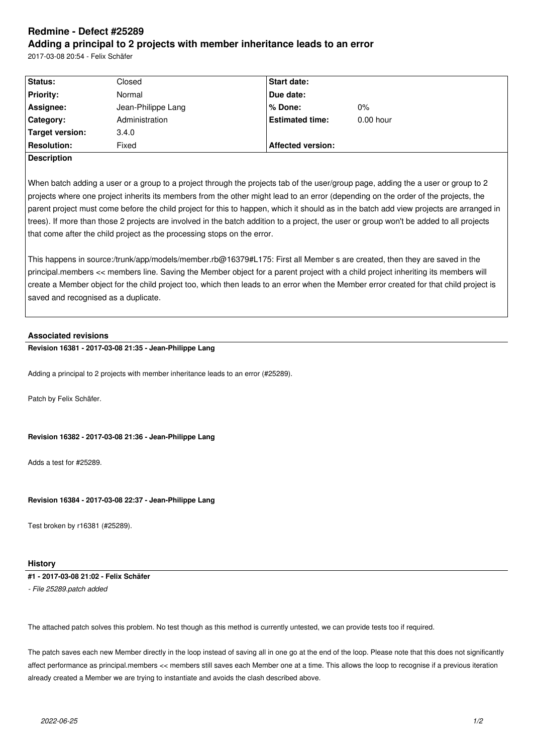# **Redmine - Defect #25289 Adding a principal to 2 projects with member inheritance leads to an error**

2017-03-08 20:54 - Felix Schäfer

| Status:                   | Closed             | <b>Start date:</b>       |             |  |
|---------------------------|--------------------|--------------------------|-------------|--|
| <b>Priority:</b>          | Normal             | Due date:                |             |  |
| Assignee:                 | Jean-Philippe Lang | % Done:                  | $0\%$       |  |
| Category:                 | Administration     | <b>Estimated time:</b>   | $0.00$ hour |  |
| Target version:           | 3.4.0              |                          |             |  |
| <b>Resolution:</b>        | Fixed              | <b>Affected version:</b> |             |  |
| $\mathbf{R}_{\mathbf{a}}$ |                    |                          |             |  |

**Description**

When batch adding a user or a group to a project through the projects tab of the user/group page, adding the a user or group to 2 projects where one project inherits its members from the other might lead to an error (depending on the order of the projects, the parent project must come before the child project for this to happen, which it should as in the batch add view projects are arranged in trees). If more than those 2 projects are involved in the batch addition to a project, the user or group won't be added to all projects that come after the child project as the processing stops on the error.

This happens in source:/trunk/app/models/member.rb@16379#L175: First all Member s are created, then they are saved in the principal.members << members line. Saving the Member object for a parent project with a child project inheriting its members will create a Member object for the child project too, which then leads to an error when the Member error created for that child project is saved and recognised as a duplicate.

## **Associated revisions**

**Revision 16381 - 2017-03-08 21:35 - Jean-Philippe Lang**

Adding a principal to 2 projects with member inheritance leads to an error (#25289).

Patch by Felix Schäfer.

## **Revision 16382 - 2017-03-08 21:36 - Jean-Philippe Lang**

Adds a test for #25289.

#### **Revision 16384 - 2017-03-08 22:37 - Jean-Philippe Lang**

Test broken by r16381 (#25289).

#### **History**

**#1 - 2017-03-08 21:02 - Felix Schäfer**

*- File 25289.patch added*

The attached patch solves this problem. No test though as this method is currently untested, we can provide tests too if required.

The patch saves each new Member directly in the loop instead of saving all in one go at the end of the loop. Please note that this does not significantly affect performance as principal.members << members still saves each Member one at a time. This allows the loop to recognise if a previous iteration already created a Member we are trying to instantiate and avoids the clash described above.